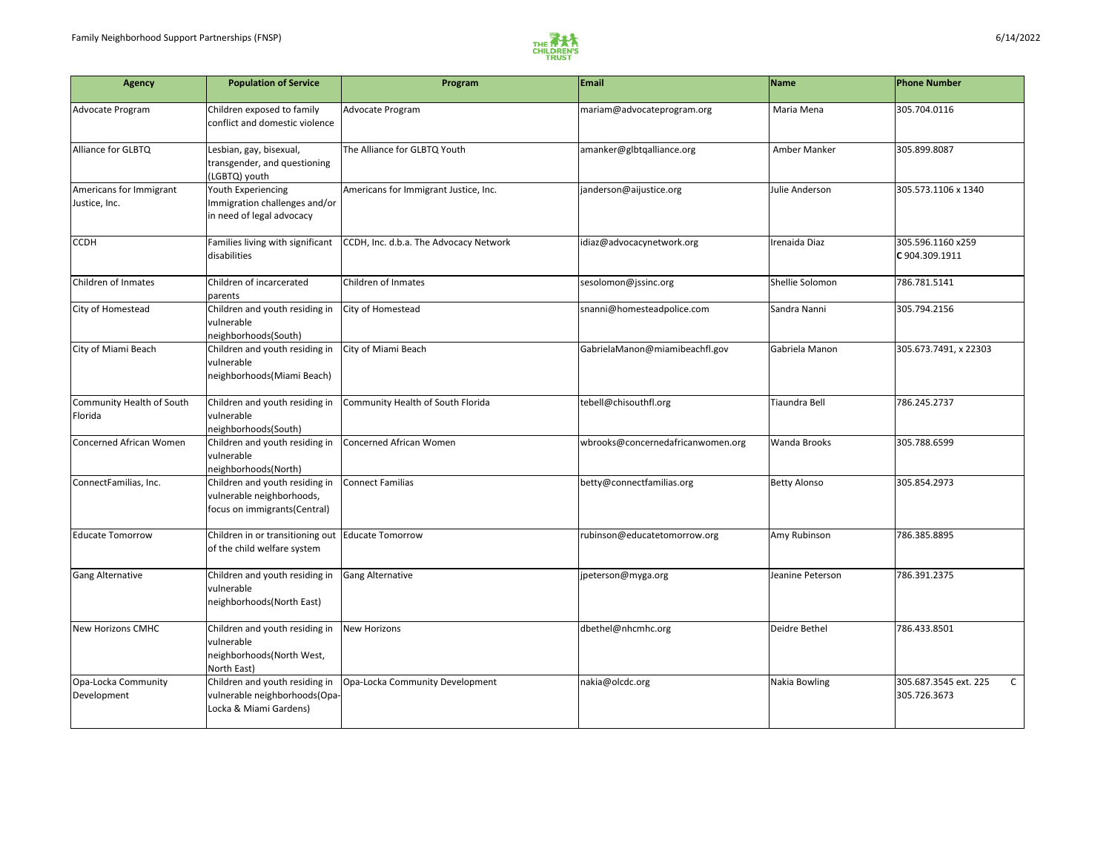

| <b>Agency</b>                            | <b>Population of Service</b>                                                                | Program                                | <b>Email</b>                      | <b>Name</b>         | <b>Phone Number</b>                                   |
|------------------------------------------|---------------------------------------------------------------------------------------------|----------------------------------------|-----------------------------------|---------------------|-------------------------------------------------------|
| Advocate Program                         | Children exposed to family<br>conflict and domestic violence                                | Advocate Program                       | mariam@advocateprogram.org        | Maria Mena          | 305.704.0116                                          |
| Alliance for GLBTQ                       | Lesbian, gay, bisexual,<br>transgender, and questioning<br>(LGBTQ) youth                    | The Alliance for GLBTQ Youth           | amanker@glbtqalliance.org         | Amber Manker        | 305.899.8087                                          |
| Americans for Immigrant<br>Justice, Inc. | Youth Experiencing<br>Immigration challenges and/or<br>in need of legal advocacy            | Americans for Immigrant Justice, Inc.  | janderson@aijustice.org           | Julie Anderson      | 305.573.1106 x 1340                                   |
| <b>CCDH</b>                              | Families living with significant<br>disabilities                                            | CCDH, Inc. d.b.a. The Advocacy Network | idiaz@advocacynetwork.org         | Irenaida Diaz       | 305.596.1160 x259<br>C 904.309.1911                   |
| Children of Inmates                      | Children of incarcerated<br>parents                                                         | Children of Inmates                    | sesolomon@jssinc.org              | Shellie Solomon     | 786.781.5141                                          |
| City of Homestead                        | Children and youth residing in<br>vulnerable<br>neighborhoods(South)                        | City of Homestead                      | snanni@homesteadpolice.com        | Sandra Nanni        | 305.794.2156                                          |
| City of Miami Beach                      | Children and youth residing in<br>vulnerable<br>neighborhoods(Miami Beach)                  | City of Miami Beach                    | GabrielaManon@miamibeachfl.gov    | Gabriela Manon      | 305.673.7491, x 22303                                 |
| Community Health of South<br>Florida     | Children and youth residing in<br>vulnerable<br>neighborhoods(South)                        | Community Health of South Florida      | tebell@chisouthfl.org             | Tiaundra Bell       | 786.245.2737                                          |
| <b>Concerned African Women</b>           | Children and youth residing in<br>vulnerable<br>neighborhoods(North)                        | Concerned African Women                | wbrooks@concernedafricanwomen.org | <b>Wanda Brooks</b> | 305.788.6599                                          |
| ConnectFamilias, Inc.                    | Children and youth residing in<br>vulnerable neighborhoods,<br>focus on immigrants(Central) | Connect Familias                       | betty@connectfamilias.org         | <b>Betty Alonso</b> | 305.854.2973                                          |
| <b>Educate Tomorrow</b>                  | Children in or transitioning out   Educate Tomorrow<br>of the child welfare system          |                                        | rubinson@educatetomorrow.org      | Amy Rubinson        | 786.385.8895                                          |
| <b>Gang Alternative</b>                  | Children and youth residing in<br>vulnerable<br>neighborhoods(North East)                   | <b>Gang Alternative</b>                | jpeterson@myga.org                | Jeanine Peterson    | 786.391.2375                                          |
| New Horizons CMHC                        | Children and youth residing in<br>vulnerable<br>neighborhoods(North West,<br>North East)    | New Horizons                           | dbethel@nhcmhc.org                | Deidre Bethel       | 786.433.8501                                          |
| Opa-Locka Community<br>Development       | Children and youth residing in<br>vulnerable neighborhoods(Opa-<br>Locka & Miami Gardens)   | Opa-Locka Community Development        | nakia@olcdc.org                   | Nakia Bowling       | 305.687.3545 ext. 225<br>$\mathsf{C}$<br>305.726.3673 |